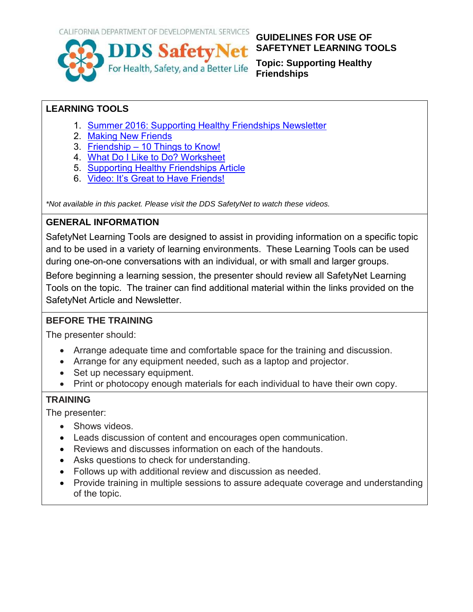

#### **GUIDELINES FOR USE OF SAFETYNET LEARNING TOOLS**

**Topic: Supporting Healthy Friendships**

#### **LEARNING TOOLS**

- 1. [Summer 2016: Supporting Healthy Friendships Newsletter](http://ddssafety.net/everyday-life/friendships-and-relationships/summer-2016-newsletter-support-healthy-friendships)
- 2. [Making New Friends](http://ddssafety.net/everyday-life/friendships-and-relationships/making-new-friends)
- 3. Friendship [10 Things to Know!](http://ddssafety.net/everyday-life/friendships-and-relationships/friendship-10-things-know)
- 4. [What Do I Like to Do? Worksheet](http://ddssafety.net/everyday-life/friendships-and-relationships/what-do-i-do)
- 5. [Supporting Healthy Friendships Article](http://ddssafety.net/everyday-life/friendships-and-relationships/supporting-healthy-friendships-article)
- 6. [Video: It's Great to Have Friends!](http://ddssafety.net/everyday-life/friendships-and-relationships/video-its-great-have-friends)

*\*Not available in this packet. Please visit the DDS SafetyNet to watch these videos.* 

#### **GENERAL INFORMATION**

SafetyNet Learning Tools are designed to assist in providing information on a specific topic and to be used in a variety of learning environments. These Learning Tools can be used during one-on-one conversations with an individual, or with small and larger groups.

Before beginning a learning session, the presenter should review all SafetyNet Learning Tools on the topic. The trainer can find additional material within the links provided on the SafetyNet Article and Newsletter.

#### **BEFORE THE TRAINING**

The presenter should:

- Arrange adequate time and comfortable space for the training and discussion.
- Arrange for any equipment needed, such as a laptop and projector.
- Set up necessary equipment.
- Print or photocopy enough materials for each individual to have their own copy.

#### **TRAINING**

The presenter:

- Shows videos.
- Leads discussion of content and encourages open communication.
- Reviews and discusses information on each of the handouts.
- Asks questions to check for understanding.
- Follows up with additional review and discussion as needed.
- Provide training in multiple sessions to assure adequate coverage and understanding of the topic.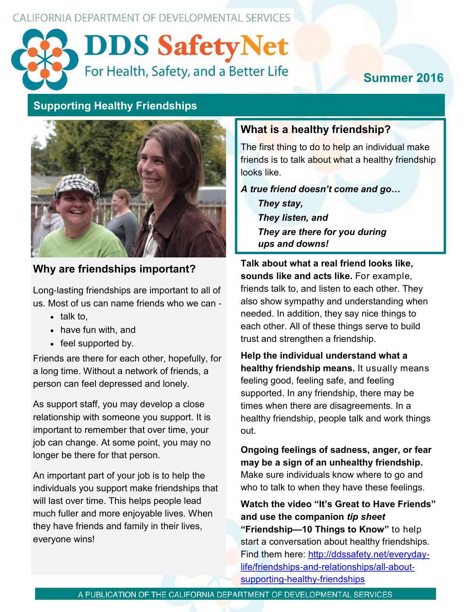CALIFORNIA DEPARTMENT OF DEVELOPMENTAL SERVICES



# **Summer 2016**

# **Supporting Healthy Friendships**



#### **Why are friendships important?**

Long-lasting friendships are important to all of us. Most of us can name friends who we can -

- $\bullet$  talk to,
- have fun with, and
- feel supported by.

Friends are there for each other, hopefully, for a long time. Without a network of friends, a person can feel depressed and lonely.

As support staff, you may develop a close relationship with someone you support. It is important to remember that over time, your job can change. At some point, you may no longer be there for that person.

An important part of your job is to help the individuals you support make friendships that will last over time. This helps people lead much fuller and more enjoyable lives. When they have friends and family in their lives, everyone wins!

#### **What is a healthy friendship?**

The first thing to do to help an individual make friends is to talk about what a healthy friendship looks like.

#### *A true friend doesn't come and go…*

*They stay, They listen, and They are there for you during ups and downs!*

**Talk about what a real friend looks like, sounds like and acts like.** For example, friends talk to, and listen to each other. They also show sympathy and understanding when needed. In addition, they say nice things to each other. All of these things serve to build trust and strengthen a friendship.

**Help the individual understand what a healthy friendship means.** It usually means feeling good, feeling safe, and feeling supported. In any friendship, there may be times when there are disagreements. In a healthy friendship, people talk and work things out.

**Ongoing feelings of sadness, anger, or fear may be a sign of an unhealthy friendship.**  Make sure individuals know where to go and who to talk to when they have these feelings.

**Watch the video "It's Great to Have Friends" and use the companion** *tip sheet* **"Friendship—10 Things to Know"** to help start a conversation about healthy friendships. Find them here: [http://ddssafety.net/everyday](http://ddssafety.net/everyday-life/friendships-and-relationships/all-about-supporting-healthy-friendships)life/friendships-and-[relationships/all](http://ddssafety.net/everyday-life/friendships-and-relationships/all-about-supporting-healthy-friendships)-aboutsupporting-healthy-[friendships](http://ddssafety.net/everyday-life/friendships-and-relationships/all-about-supporting-healthy-friendships)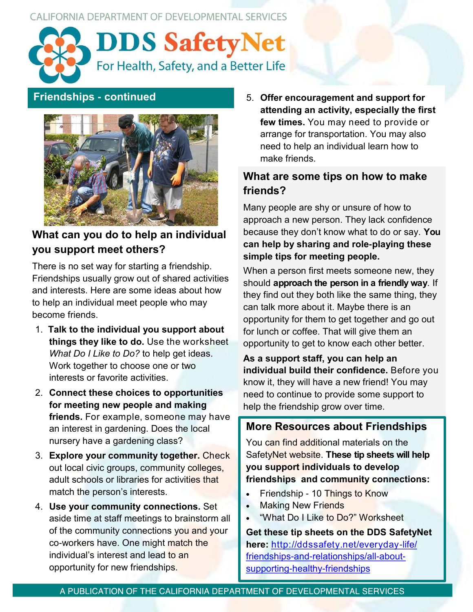CALIFORNIA DEPARTMENT OF DEVELOPMENTAL SERVICES





# **What can you do to help an individual you support meet others?**

There is no set way for starting a friendship. Friendships usually grow out of shared activities and interests. Here are some ideas about how to help an individual meet people who may become friends.

- 1. **Talk to the individual you support about things they like to do.** Use the worksheet *What Do I Like to Do?* to help get ideas. Work together to choose one or two interests or favorite activities.
- 2. **Connect these choices to opportunities for meeting new people and making friends.** For example, someone may have an interest in gardening. Does the local nursery have a gardening class?
- 3. **Explore your community together.** Check out local civic groups, community colleges, adult schools or libraries for activities that match the person's interests.
- 4. **Use your community connections.** Set aside time at staff meetings to brainstorm all of the community connections you and your co-workers have. One might match the individual's interest and lead to an opportunity for new friendships.

**Friendships - continued** 5. **Offer encouragement and support for attending an activity, especially the first few times.** You may need to provide or arrange for transportation. You may also need to help an individual learn how to make friends.

#### **What are some tips on how to make friends?**

Many people are shy or unsure of how to approach a new person. They lack confidence because they don't know what to do or say. **You can help by sharing and role-playing these simple tips for meeting people.** 

When a person first meets someone new, they should **approach the person in a friendly way**. If they find out they both like the same thing, they can talk more about it. Maybe there is an opportunity for them to get together and go out for lunch or coffee. That will give them an opportunity to get to know each other better.

**As a support staff, you can help an individual build their confidence.** Before you know it, they will have a new friend! You may need to continue to provide some support to help the friendship grow over time.

#### **More Resources about Friendships**

You can find additional materials on the SafetyNet website. **These tip sheets will help you support individuals to develop friendships and community connections:**

- Friendship 10 Things to Know
- **Making New Friends**
- "What Do I Like to Do?" Worksheet

**Get these tip sheets on the DDS SafetyNet here:** [http://ddssafety.net/everyday](http://ddssafety.net/everyday-life/friendships-and-relationships/all-about-supporting-healthy-friendships)-life/ friendships-and-[relationships/all](http://ddssafety.net/everyday-life/friendships-and-relationships/all-about-supporting-healthy-friendships)-aboutsupporting-healthy-[friendships](http://ddssafety.net/everyday-life/friendships-and-relationships/all-about-supporting-healthy-friendships)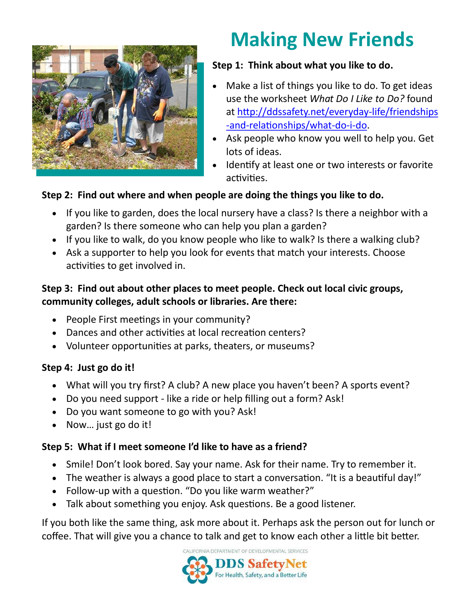

# **Making New Friends**

### **Step 1: Think about what you like to do.**

- Make a list of things you like to do. To get ideas use the worksheet *What Do I Like to Do?* found at [http://ddssafety.net/everyday](http://ddssafety.net/everyday-life/friendships-and-relationships/what-do-i-do)-life/friendships -and-[relationships/what](http://ddssafety.net/everyday-life/friendships-and-relationships/what-do-i-do)-do-i-do.
- Ask people who know you well to help you. Get lots of ideas.
- Identify at least one or two interests or favorite activities.

#### **Step 2: Find out where and when people are doing the things you like to do.**

- If you like to garden, does the local nursery have a class? Is there a neighbor with a garden? Is there someone who can help you plan a garden?
- If you like to walk, do you know people who like to walk? Is there a walking club?
- Ask a supporter to help you look for events that match your interests. Choose activities to get involved in.

#### **Step 3: Find out about other places to meet people. Check out local civic groups, community colleges, adult schools or libraries. Are there:**

- People First meetings in your community?
- Dances and other activities at local recreation centers?
- Volunteer opportunities at parks, theaters, or museums?

#### **Step 4: Just go do it!**

- What will you try first? A club? A new place you haven't been? A sports event?
- Do you need support like a ride or help filling out a form? Ask!
- Do you want someone to go with you? Ask!
- Now... just go do it!

#### **Step 5: What if I meet someone I'd like to have as a friend?**

- Smile! Don't look bored. Say your name. Ask for their name. Try to remember it.
- The weather is always a good place to start a conversation. "It is a beautiful day!"
- Follow-up with a question. "Do you like warm weather?"
- Talk about something you enjoy. Ask questions. Be a good listener.

If you both like the same thing, ask more about it. Perhaps ask the person out for lunch or coffee. That will give you a chance to talk and get to know each other a little bit better.

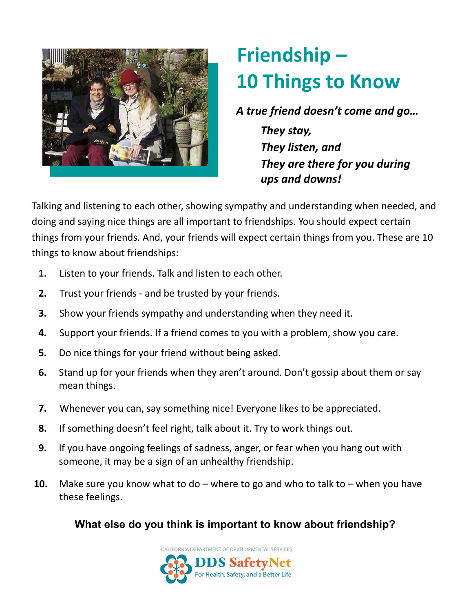

# **Friendship – 10 Things to Know**

*A true friend doesn't come and go…*

*They stay, They listen, and They are there for you during ups and downs!*

Talking and listening to each other, showing sympathy and understanding when needed, and doing and saying nice things are all important to friendships. You should expect certain things from your friends. And, your friends will expect certain things from you. These are 10 things to know about friendships:

- **1.** Listen to your friends. Talk and listen to each other.
- **2.** Trust your friends and be trusted by your friends.
- **3.** Show your friends sympathy and understanding when they need it.
- **4.** Support your friends. If a friend comes to you with a problem, show you care.
- **5.** Do nice things for your friend without being asked.
- **6.** Stand up for your friends when they aren't around. Don't gossip about them or say mean things.
- **7.** Whenever you can, say something nice! Everyone likes to be appreciated.
- **8.** If something doesn't feel right, talk about it. Try to work things out.
- **9.** If you have ongoing feelings of sadness, anger, or fear when you hang out with someone, it may be a sign of an unhealthy friendship.
- **10.** Make sure you know what to do where to go and who to talk to when you have these feelings.

# **What else do you think is important to know about friendship?**

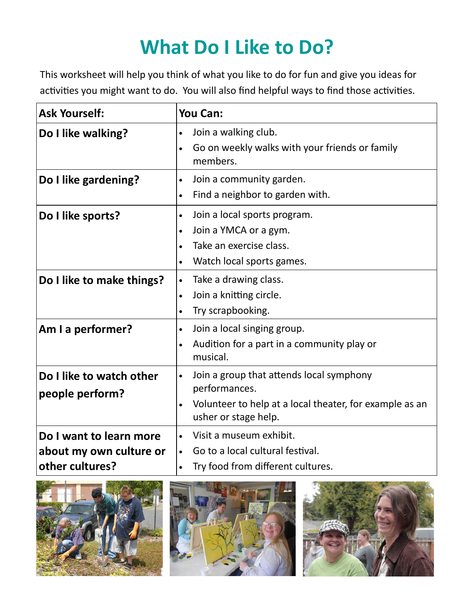# **What Do I Like to Do?**

This worksheet will help you think of what you like to do for fun and give you ideas for activities you might want to do. You will also find helpful ways to find those activities.

| <b>Ask Yourself:</b>                                                  | <b>You Can:</b>                                                                                                                                                  |
|-----------------------------------------------------------------------|------------------------------------------------------------------------------------------------------------------------------------------------------------------|
| Do I like walking?                                                    | Join a walking club.<br>Go on weekly walks with your friends or family<br>members.                                                                               |
| Do I like gardening?                                                  | Join a community garden.<br>$\bullet$<br>Find a neighbor to garden with.<br>$\bullet$                                                                            |
| Do I like sports?<br>Do I like to make things?                        | Join a local sports program.<br>$\bullet$<br>Join a YMCA or a gym.<br>Take an exercise class.<br>Watch local sports games.<br>Take a drawing class.<br>$\bullet$ |
|                                                                       | Join a knitting circle.<br>Try scrapbooking.                                                                                                                     |
| Am I a performer?                                                     | Join a local singing group.<br>$\bullet$<br>Audition for a part in a community play or<br>musical.                                                               |
| Do I like to watch other<br>people perform?                           | Join a group that attends local symphony<br>performances.<br>Volunteer to help at a local theater, for example as an<br>usher or stage help.                     |
| Do I want to learn more<br>about my own culture or<br>other cultures? | Visit a museum exhibit.<br>Go to a local cultural festival.<br>$\bullet$<br>Try food from different cultures.<br>$\bullet$                                       |





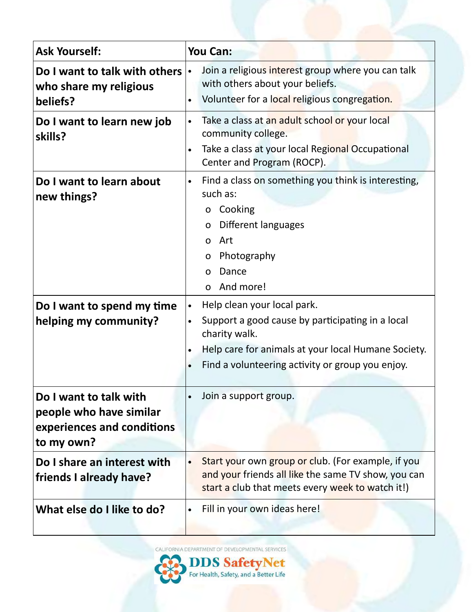| <b>Ask Yourself:</b>                                                                          | You Can:                                                                                                                                                                                                                              |
|-----------------------------------------------------------------------------------------------|---------------------------------------------------------------------------------------------------------------------------------------------------------------------------------------------------------------------------------------|
| Do I want to talk with others<br>who share my religious<br>beliefs?                           | Join a religious interest group where you can talk<br>with others about your beliefs.<br>Volunteer for a local religious congregation.                                                                                                |
| Do I want to learn new job<br>skills?                                                         | Take a class at an adult school or your local<br>community college.<br>Take a class at your local Regional Occupational<br>Center and Program (ROCP).                                                                                 |
| Do I want to learn about<br>new things?                                                       | Find a class on something you think is interesting,<br>$\bullet$<br>such as:<br>Cooking<br>0<br>Different languages<br>O<br>Art<br>0<br>Photography<br>O<br>Dance<br>$\Omega$<br>And more!<br>$\Omega$                                |
| Do I want to spend my time<br>helping my community?                                           | Help clean your local park.<br>$\bullet$<br>Support a good cause by participating in a local<br>charity walk.<br>Help care for animals at your local Humane Society.<br>Find a volunteering activity or group you enjoy.<br>$\bullet$ |
| Do I want to talk with<br>people who have similar<br>experiences and conditions<br>to my own? | Join a support group.                                                                                                                                                                                                                 |
| Do I share an interest with<br>friends I already have?                                        | Start your own group or club. (For example, if you<br>and your friends all like the same TV show, you can<br>start a club that meets every week to watch it!)                                                                         |
| What else do I like to do?                                                                    | Fill in your own ideas here!                                                                                                                                                                                                          |

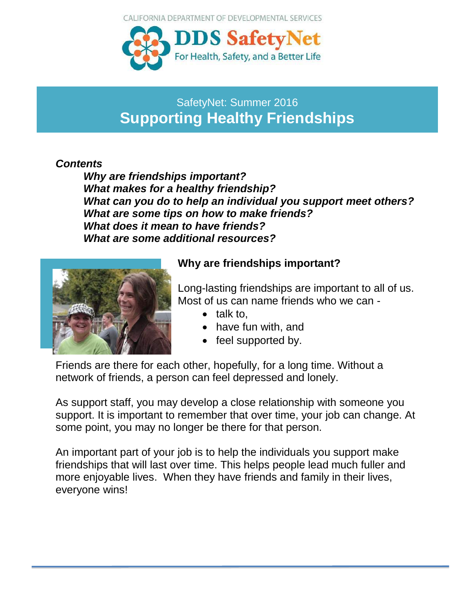CALIFORNIA DEPARTMENT OF DEVELOPMENTAL SERVICES



# SafetyNet: Summer 2016 **Supporting Healthy Friendships**

#### *Contents*

*Why are friendships important? What makes for a healthy friendship? What can you do to help an individual you support meet others? What are some tips on how to make friends? What does it mean to have friends? What are some additional resources?* 



### **Why are friendships important?**

Long-lasting friendships are important to all of us. Most of us can name friends who we can -

- $\bullet$  talk to,
- have fun with, and
- feel supported by.

Friends are there for each other, hopefully, for a long time. Without a network of friends, a person can feel depressed and lonely.

As support staff, you may develop a close relationship with someone you support. It is important to remember that over time, your job can change. At some point, you may no longer be there for that person.

An important part of your job is to help the individuals you support make friendships that will last over time. This helps people lead much fuller and more enjoyable lives. When they have friends and family in their lives, everyone wins!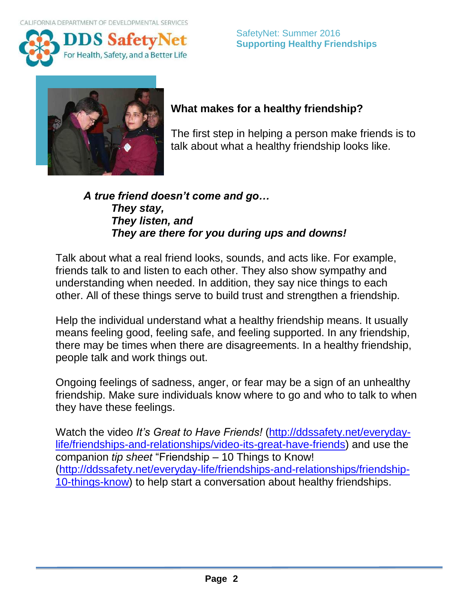



# **What makes for a healthy friendship?**

The first step in helping a person make friends is to talk about what a healthy friendship looks like.

#### *A true friend doesn't come and go… They stay, They listen, and They are there for you during ups and downs!*

Talk about what a real friend looks, sounds, and acts like. For example, friends talk to and listen to each other. They also show sympathy and understanding when needed. In addition, they say nice things to each other. All of these things serve to build trust and strengthen a friendship.

Help the individual understand what a healthy friendship means. It usually means feeling good, feeling safe, and feeling supported. In any friendship, there may be times when there are disagreements. In a healthy friendship, people talk and work things out.

Ongoing feelings of sadness, anger, or fear may be a sign of an unhealthy friendship. Make sure individuals know where to go and who to talk to when they have these feelings.

Watch the video *It's Great to Have Friends!* [\(http://ddssafety.net/everyday](http://ddssafety.net/everyday-life/friendships-and-relationships/video-its-great-have-friends)[life/friendships-and-relationships/video-its-great-have-friends\)](http://ddssafety.net/everyday-life/friendships-and-relationships/video-its-great-have-friends) and use the companion *tip sheet* "Friendship – 10 Things to Know! [\(http://ddssafety.net/everyday-life/friendships-and-relationships/friendship-](http://ddssafety.net/everyday-life/friendships-and-relationships/friendship-10-things-know)[10-things-know\)](http://ddssafety.net/everyday-life/friendships-and-relationships/friendship-10-things-know) to help start a conversation about healthy friendships.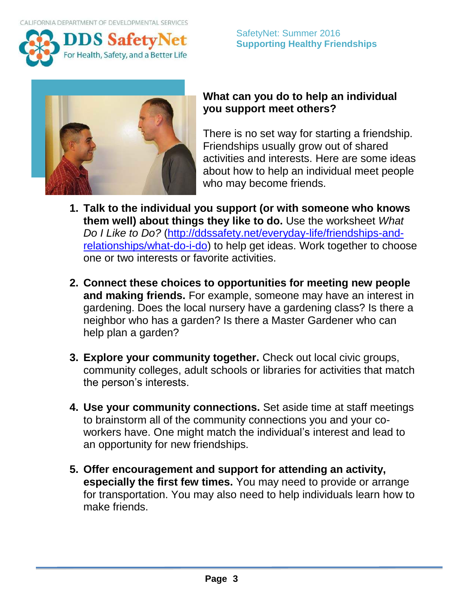

#### SafetyNet: Summer 2016 **Supporting Healthy Friendships**



#### **What can you do to help an individual you support meet others?**

There is no set way for starting a friendship. Friendships usually grow out of shared activities and interests. Here are some ideas about how to help an individual meet people who may become friends.

- **1. Talk to the individual you support (or with someone who knows them well) about things they like to do.** Use the worksheet *What Do I Like to Do?* [\(http://ddssafety.net/everyday-life/friendships-and](http://ddssafety.net/everyday-life/friendships-and-relationships/what-do-i-do)[relationships/what-do-i-do\)](http://ddssafety.net/everyday-life/friendships-and-relationships/what-do-i-do) to help get ideas. Work together to choose one or two interests or favorite activities.
- **2. Connect these choices to opportunities for meeting new people and making friends.** For example, someone may have an interest in gardening. Does the local nursery have a gardening class? Is there a neighbor who has a garden? Is there a Master Gardener who can help plan a garden?
- **3. Explore your community together.** Check out local civic groups, community colleges, adult schools or libraries for activities that match the person's interests.
- **4. Use your community connections.** Set aside time at staff meetings to brainstorm all of the community connections you and your coworkers have. One might match the individual's interest and lead to an opportunity for new friendships.
- **5. Offer encouragement and support for attending an activity, especially the first few times.** You may need to provide or arrange for transportation. You may also need to help individuals learn how to make friends.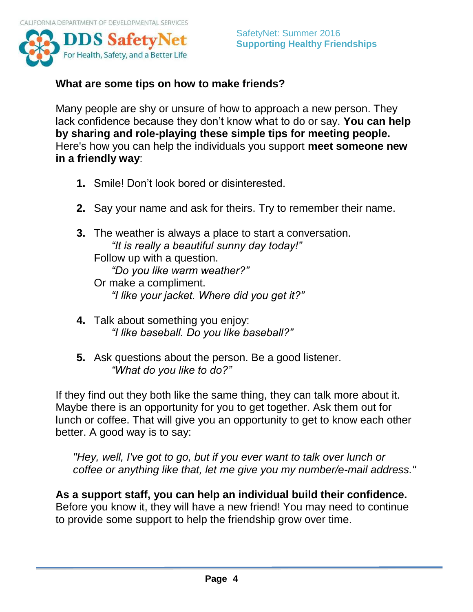

#### **What are some tips on how to make friends?**

Many people are shy or unsure of how to approach a new person. They lack confidence because they don't know what to do or say. **You can help by sharing and role-playing these simple tips for meeting people.**  Here's how you can help the individuals you support **meet someone new in a friendly way**:

- **1.** Smile! Don't look bored or disinterested.
- **2.** Say your name and ask for theirs. Try to remember their name.
- **3.** The weather is always a place to start a conversation. *"It is really a beautiful sunny day today!"* Follow up with a question. *"Do you like warm weather?"* Or make a compliment. *"I like your jacket. Where did you get it?"*
- **4.** Talk about something you enjoy: *"I like baseball. Do you like baseball?"*
- **5.** Ask questions about the person. Be a good listener. *"What do you like to do?"*

If they find out they both like the same thing, they can talk more about it. Maybe there is an opportunity for you to get together. Ask them out for lunch or coffee. That will give you an opportunity to get to know each other better. A good way is to say:

*"Hey, well, I've got to go, but if you ever want to talk over lunch or coffee or anything like that, let me give you my number/e-mail address."*

**As a support staff, you can help an individual build their confidence.** Before you know it, they will have a new friend! You may need to continue to provide some support to help the friendship grow over time.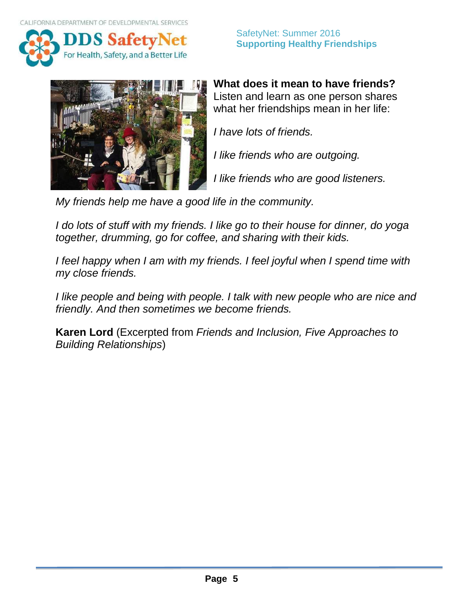



**What does it mean to have friends?**  Listen and learn as one person shares what her friendships mean in her life:

*I have lots of friends.*

*I like friends who are outgoing.* 

*I like friends who are good listeners.* 

*My friends help me have a good life in the community.* 

*I do lots of stuff with my friends. I like go to their house for dinner, do yoga together, drumming, go for coffee, and sharing with their kids.* 

*I feel happy when I am with my friends. I feel joyful when I spend time with my close friends.* 

*I like people and being with people. I talk with new people who are nice and friendly. And then sometimes we become friends.* 

**Karen Lord** (Excerpted from *Friends and Inclusion, Five Approaches to Building Relationships*)